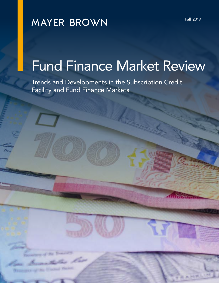Fall 2019

## **MAYER BROWN**

# Fund Finance Market Review

Trends and Developments in the Subscription Credit Facility and Fund Finance Markets

on of the

**BOOT AT LOCAL VIOLE**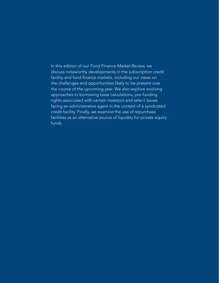In this edition of our *Fund Finance Market Review*, we discuss noteworthy developments in the subscription credit facility and fund finance markets, including our views on the challenges and opportunities likely to be present over the course of the upcoming year. We also explore evolving approaches to borrowing base calculations, pre-funding rights associated with certain investors and select issues facing an administrative agent in the context of a syndicated credit facility. Finally, we examine the use of repurchase facilities as an alternative source of liquidity for private equity funds.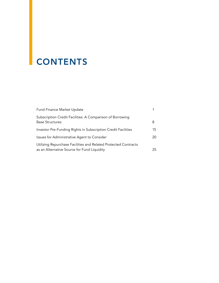# **CONTENTS**

| Fund Finance Market Update                                                                                     |    |
|----------------------------------------------------------------------------------------------------------------|----|
| Subscription Credit Facilities: A Comparison of Borrowing<br><b>Base Structures</b>                            | 8  |
| Investor Pre-Funding Rights in Subscription Credit Facilities                                                  | 15 |
| Issues for Administrative Agent to Consider                                                                    | 20 |
| Utilizing Repurchase Facilities and Related Protected Contracts<br>as an Alternative Source for Fund Liquidity | 25 |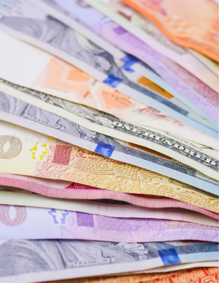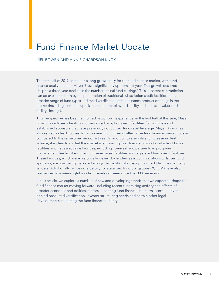## <span id="page-4-0"></span>Fund Finance Market Update

KIEL BOWEN AND ANN RICHARDSON KNOX

The first half of 2019 continues a long growth rally for the fund finance market, with fund finance deal volume at Mayer Brown significantly up from last year. This growth occurred despite a three-year decline in the number of final fund closings.[1](#page-10-0) This apparent contradiction can be explained both by the penetration of traditional subscription credit facilities into a broader range of fund types and the diversification of fund finance product offerings in the market (including a notable uptick in the number of hybrid facility and net asset value credit facility closings).

This perspective has been reinforced by our own experience: in the first half of this year, Mayer Brown has advised clients on numerous subscription credit facilities for both new and established sponsors that have previously not utilized fund-level leverage. Mayer Brown has also served as lead counsel for an increasing number of alternative fund finance transactions as compared to the same time period last year. In addition to a significant increase in deal volume, it is clear to us that the market is embracing fund finance products outside of hybrid facilities and net asset value facilities, including co-invest and partner loan programs, management fee facilities, unencumbered asset facilities and registered fund credit facilities. These facilities, which were historically viewed by lenders as accommodations to larger fund sponsors, are now being marketed alongside traditional subscription credit facilities by many lenders. Additionally, as we note below, collateralized fund obligations ("CFOs") have also reemerged in a meaningful way from levels not seen since the 2008 recession.

In this article, we explore a number of new and developing trends that we expect to shape the fund finance market moving forward, including recent fundraising activity, the effects of broader economic and political factors impacting fund finance deal terms, certain drivers behind product diversification, investor structuring needs and certain other legal developments impacting the fund finance industry.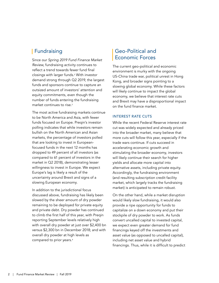## <span id="page-5-0"></span>**Fundraising**

Since our *Spring 2019 Fund Finance Market Review*, fundraising activity continues to reflect a trend towards fewer fund final closings with larger funds.[2](#page-10-0) With investor demand strong through Q2 2019, the largest funds and sponsors continue to capture an outsized amount of investors' attention and equity commitments, even though the number of funds entering the fundraising market continues to rise.[3](#page-10-0)

The most active fundraising markets continue to be North America and Asia, with fewer funds focused on Europe. Preqin's investor polling indicates that while investors remain bullish on the North American and Asian markets, the percentage of investors polled that are looking to invest in Europeanfocused funds in the next 12 months has dropped to 49 percent of all investors (as compared to 61 percent of investors in the market in Q2 2018), demonstrating lesser willingness to invest in Europe. We expect Europe's lag is likely a result of the uncertainty around Brexit and signs of a slowing European economy.

In addition to the jurisdictional focus discussed above, fundraising has likely been slowed by the sheer amount of dry powder remaining to be deployed for private equity and private debt. Dry powder has continued to climb the first half of this year, with Preqin reporting September levels relatively high with overall dry powder at just over \$2,400 bn versus \$2,300 bn in December 2018; and with overall dry powder at high levels as compared to prior years.[4](#page-10-0)

## Geo-Political and Economic Forces

The current geo-political and economic environment is murky with the ongoing US-China trade war, political unrest in Hong Kong, and broader signs pointing to a slowing global economy. While these factors will likely continue to impact the global economy, we believe that interest rate cuts and Brexit may have a disproportional impact on the fund finance market.

### INTEREST RATE CUTS

While the recent Federal Reserve interest rate cut was widely expected and already priced into the broader market, many believe that more cuts will follow this year, especially if the trade wars continue. If cuts succeed in accelerating economic growth and stimulating the broader economy, investors will likely continue their search for higher yields and allocate more capital into alternative assets, including private equity. Accordingly, the fundraising environment (and resulting subscription credit facility market, which largely tracks the fundraising market) is anticipated to remain robust.

On the other hand, while a market disruption would likely slow fundraising, it would also provide a ripe opportunity for funds to capitalize on a down economy and put their stockpile of dry powder to work. As funds convert uncalled capital to invested capital, we expect even greater demand for fund financings keyed off the investments and asset value (as opposed to uncalled capital), including net asset value and hybrid financings. Thus, while it is difficult to predict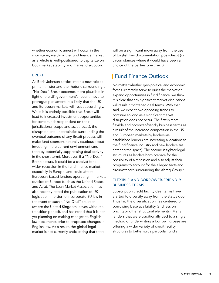<span id="page-6-0"></span>whether economic unrest will occur in the short-term, we think the fund finance market as a whole is well-positioned to capitalize on both market stability and market disruption.

#### BREXIT

As Boris Johnson settles into his new role as prime minister and the rhetoric surrounding a "No-Deal" Brexit becomes more plausible in light of the UK government's recent move to prorogue parliament, it is likely that the UK and European markets will react accordingly. While it is entirely possible that Brexit will lead to increased investment opportunities for some funds (dependent on their jurisdictional scope and asset focus), the disruption and uncertainties surrounding the eventual outcome of any Brexit process will make fund sponsors naturally cautious about investing in the current environment (and thereby potentially suppressing deal activity in the short term). Moreover, if a "No-Deal" Brexit occurs, it could be a catalyst for a wider recession in the fund finance market, especially in Europe, and could affect European-based lenders operating in markets outside of Europe (such as the United States and Asia). The Loan Market Association has also recently noted the publication of UK legislation in order to incorporate EU law in the event of such a "No-Deal" situation (where the United Kingdom leaves without a transition period), and has noted that it is not yet planning on making changes to English law documents prior to proposed changes in English law. As a result, the global legal market is not currently anticipating that there

will be a significant move away from the use of English law documentation post-Brexit (in circumstances where it would have been a choice of the parties pre-Brexit).

## Fund Finance Outlook

No matter whether geo-political and economic forces ultimately serve to quiet the market or expand opportunities in fund finance, we think it is clear that any significant market disruptions will result in tightened deal terms. With that said, we expect two opposing trends to continue so long as a significant market disruption does not occur. The first is more flexible and borrower-friendly business terms as a result of the increased competition in the US and European markets by lenders (as established lenders are increasing allocations to the fund finance industry and new lenders are entering the space). The second is tighter legal structures as lenders both prepare for the possibility of a recession and also adjust their programs to account for the alleged facts and circumstances surrounding the Abraaj Group.[5](#page-10-0)

## FLEXIBLE AND BORROWER-FRIENDLY BUSINESS TERMS

Subscription credit facility deal terms have started to diversify away from the status quo. Thus far, the diversification has centered on borrowing base availability (and less on pricing or other structural elements). Many lenders that were traditionally tied to a single method of underwriting a borrowing base are offering a wider variety of credit facility structures to better suit a particular fund's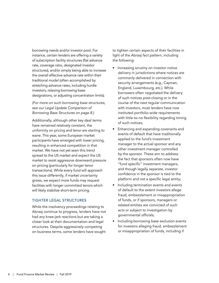borrowing needs and/or investor pool. For instance, certain lenders are offering a variety of subscription facility structures (flat advance rate, coverage ratio, designated investor structures), and/or simply being able to increase the overall effective advance rate within their traditional model (often accomplished by stretching advance rates, including hurdle investors, relaxing borrowing base designations, or adjusting concentration limits).

*(For more on such borrowing base structures, see our Legal Update Comparison of Borrowing Base Structures on page 8.)*

Additionally, although other key deal terms have remained relatively constant, the uniformity on pricing and tenor are starting to wane. This year, some European market participants have emerged with lower pricing, resulting in enhanced competition in that market. We have not yet seen this trend spread to the US market and expect the US market to resist aggressive downward pressure on pricing (particularly for longer tenor transactions). While every fund will approach this issue differently, if market uncertainty grows, we expect more funds may request facilities with longer committed tenors which will likely stabilize short-term pricing.

### TIGHTER LEGAL STRUCTURES

While the insolvency proceedings relating to Abraaj continue to progress, lenders have not had any knee-jerk reactions but are taking a closer look at their documentation and legal structures. Despite aggressively competing on business terms, some lenders have sought

to tighten certain aspects of their facilities in light of the Abraaj fact pattern, including the following:

- Increasing scrutiny on investor notice delivery in jurisdictions where notices are commonly delivered in connection with security arrangements (e.g., Cayman, England, Luxembourg, etc.). While borrowers often negotiated the delivery of such notices post-closing or in the course of the next regular communication with investors, most lenders have now instituted portfolio-wide requirements with little-to-no flexibility regarding timing of such notices;
- Enhancing and expanding covenants and events of default that have traditionally applied to the fund's investment manager to the actual sponsor and any other investment manager controlled by the sponsor. These aim to address the fact that sponsors often now have "fund specific" investment managers, and though legally separate, investor confidence in the sponsor is tied to the platform and not a specific legal entity;
- Including termination events and events of default to the extent investors allege fraud, embezzlement or misappropriation of funds, or if sponsors, managers or related entities are convicted of such acts or subject to investigation by governmental officials;
- Including borrowing base exclusion events for investors alleging fraud, embezzlement or misappropriation of funds, including if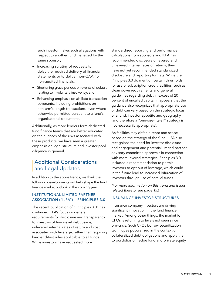such investor makes such allegations with respect to another fund managed by the same sponsor;

- Increasing scrutiny of requests to delay the required delivery of financial statements or to deliver non-GAAP or non-audited financials;
- Shortening grace periods on events of default relating to involuntary insolvency; and
- Enhancing emphasis on affiliate transaction covenants, including prohibitions on non-arm's-length transactions, even where otherwise permitted pursuant to a fund's organizational documents.

Additionally, as more lenders form dedicated fund finance teams that are better educated on the nuances of the risks associated with these products, we have seen a greater emphasis on legal structure and investor pool diligence in general.

## Additional Considerations and Legal Updates

In addition to the above trends, we think the following developments will help shape the fund finance market outlook in the coming year.

## INSTITUTIONAL LIMITED PARTNER ASSOCIATION ("ILPA") – PRINCIPLES 3.0

The recent publication of "Principles 3.0" has continued ILPA's focus on general requirements for disclosure and transparency to investors of fund-level debt usage, unlevered internal rates of return and cost associated with leverage, rather than requiring hard-and-fast rules applicable to all funds. While investors have requested more

standardized reporting and performance calculations from sponsors and ILPA has recommended disclosure of levered and unlevered internal rates of returns, they have not yet recommended standardized disclosure and reporting formats. While the Principles 3.0 do mention certain thresholds for use of subscription credit facilities, such as clean down requirements and general guidelines regarding debt in excess of 20 percent of uncalled capital, it appears that the guidance also recognizes that appropriate use of debt can vary based on the strategic focus of a fund, investor appetite and geography (and therefore a "one-size-fits-all" strategy is not necessarily appropriate).

As facilities may differ in tenor and scope based on the strategy of the fund, ILPA also recognized the need for investor disclosure and engagement and potential limited partner advisory committee approvals in connection with more levered strategies. Principles 3.0 included a recommendation to permit investors to opt out of leverage, which could in the future lead to increased bifurcation of investors through use of parallel funds.

*(For more information on this trend and issues related thereto, see page 15.)* 

### INSURANCE INVESTOR STRUCTURES

Insurance company investors are driving significant innovation in the fund finance market. Among other things, the market for CFOs is returning to levels not seen since pre-crisis. Such CFOs borrow securitization techniques popularized in the context of collateralized debt obligations and apply them to portfolios of hedge fund and private equity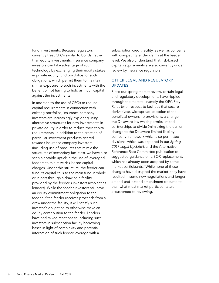<span id="page-9-0"></span>fund investments. Because regulators currently treat CFOs similar to bonds, rather than equity investments, insurance company investors can take advantage of such technology by exchanging their equity stakes in private equity fund portfolios for such obligations, which permit them to maintain similar exposure to such investments with the benefit of not having to hold as much capital against the investments.

In addition to the use of CFOs to reduce capital requirements in connection with existing portfolios, insurance company investors are increasingly exploring using alternative structures for new investments in private equity in order to reduce their capital requirements. In addition to the creation of particular investment products geared towards insurance company investors (including use of products that mimic the structures of secondary facilities), we have also seen a notable uptick in the use of leveraged feeders to minimize risk-based capital charges. Under this structure, the feeder can fund its capital calls to the main fund in whole or in part through a draw on a facility provided by the feeder's investors (who act as lenders). While the feeder investors still have an equity commitment obligation to the feeder, if the feeder receives proceeds from a draw under the facility, it will satisfy such investor's obligation to otherwise make an equity contribution to the feeder. Lenders have had mixed reactions to including such investors in subscription facility borrowing bases in light of complexity and potential interaction of such feeder leverage with a

subscription credit facility, as well as concerns with competing lender claims at the feeder level. We also understand that risk-based capital requirements are also currently under review by insurance regulators.

## OTHER LEGAL AND REGULATORY UPDATES

Since our spring market review, certain legal and regulatory developments have rippled through the market—namely the QFC Stay Rules (with respect to facilities that secure derivatives), widespread adoption of the beneficial ownership provisions, a change in the Delaware law which permits limited partnerships to divide (mimicking the earlier change to the Delaware limited liability company framework which also permitted divisions, which was explored in our *Spring 2019 Legal Update[6](#page-10-0)*), and the Alternative Reference Rate Committee publication of suggested guidance on LIBOR replacement, which has already been adopted by some market participants.[7](#page-10-0) While none of these changes have disrupted the market, they have resulted in some new negotiations and longer amend-and-extend amendment documents than what most market participants are accustomed to reviewing.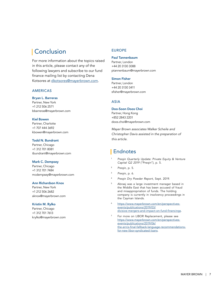## <span id="page-10-0"></span>Conclusion

For more information about the topics raised in this article, please contact any of the following lawyers and subscribe to our fund finance mailing list by contacting Dena Kotsores at [dkotsores@mayerbrown.com.](mailto:dkotsores@mayerbrown.com)

#### AMERICAS

#### Bryan L. Barreras

Partner, New York +1 212 506 2571 bbarreras@mayerbrown.com

#### Kiel Bowen

Partner, Charlotte +1 707 444 3692 kbowen@mayerbrown.com

#### Todd N. Bundrant

Partner, Chicago +1 312 701 8081 tbundrant@mayerbrown.com

#### Mark C. Dempsey

Partner, Chicago +1 312 701 7484 mcdempsey@mayerbrown.com

#### Ann Richardson Knox

Partner, New York +1 212 506 2682 aknox@mayerbrown.com

#### Kristin M. Rylko

Partner, Chicago +1 312 701 7613 krylko@mayerbrown.com

## EUROPE

#### Paul Tannenbaum

Partner, London +44 20 3130 3088 ptannenbaum@mayerbrown.com

#### Simon Fisher

Partner, London +44 20 3130 3411 sfisher@mayerbrown.com

### ASIA

#### Doo-Soon Doos Choi

Partner, Hong Kong +852 2843 2201 doos.choi@mayerbrown.com

*Mayer Brown associates Walker Scheile and Christopher Davis assisted in the preparation of this article.*

## Endnotes

- [1](#page-4-0) *Preqin Quarterly Update: Private Equity & Venture Capital Q2 2019* ("Preqin"), p. 5.
- [2](#page-5-0) *Preqin*, p. 5.
- [3](#page-5-0) *Preqin,* p. 6.
- [4](#page-5-0) *Preqin Dry Powder Report,* Sept. 2019.
- [5](#page-6-0) Abraaj was a large investment manager based in the Middle East that has been accused of fraud and misappropriation of funds. The holding company is currently in insolvency proceedings in the Cayman Islands.
- [6](#page-9-0) [https://www.mayerbrown.com/en/perspectives](https://www.mayerbrown.com/en/perspectives-events/publications/2019/03/divisive-mergers-and-impact-on-fund-financings)[events/publications/2019/03/](https://www.mayerbrown.com/en/perspectives-events/publications/2019/03/divisive-mergers-and-impact-on-fund-financings) [divisive-mergers-and-impact-on-fund-financings](https://www.mayerbrown.com/en/perspectives-events/publications/2019/03/divisive-mergers-and-impact-on-fund-financings).
- For more on LIBOR Replacement, please see [https://www.mayerbrown.com/en/perspectives](https://www.mayerbrown.com/en/perspectives-events/publications/2019/06/the-arrcs-final-fallback-language-recommendations-for-new-libor-syndicated-loans)[events/publications/2019/06/](https://www.mayerbrown.com/en/perspectives-events/publications/2019/06/the-arrcs-final-fallback-language-recommendations-for-new-libor-syndicated-loans) [the-arrcs-final-fallback-language-recommendations](https://www.mayerbrown.com/en/perspectives-events/publications/2019/06/the-arrcs-final-fallback-language-recommendations-for-new-libor-syndicated-loans)[for-new-libor-syndicated-loans.](https://www.mayerbrown.com/en/perspectives-events/publications/2019/06/the-arrcs-final-fallback-language-recommendations-for-new-libor-syndicated-loans)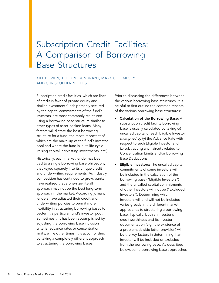## <span id="page-11-0"></span>Subscription Credit Facilities: A Comparison of Borrowing Base Structures

## KIEL BOWEN, TODD N. BUNDRANT, MARK C. DEMPSEY AND CHRISTOPHER N. ELLIS

Subscription credit facilities, which are lines of credit in favor of private equity and similar investment funds primarily secured by the capital commitments of the fund's investors, are most commonly structured using a borrowing base structure similar to other types of asset-backed loans. Many factors will dictate the best borrowing structure for a fund, the most important of which are the make-up of the fund's investor pool and where the fund is in its life cycle (raising capital, harvesting investments, etc.).

Historically, each market lender has been tied to a single borrowing base philosophy that keyed squarely into its unique credit and underwriting requirements. As industry competition has continued to grow, banks have realized that a one-size-fits-all approach may not be the best long-term approach in the market. Accordingly, many lenders have adjusted their credit and underwriting policies to permit more flexibility in structuring borrowing bases to better fit a particular fund's investor pool. Sometimes this has been accomplished by adjusting the borrowing base inclusion criteria, advance rates or concentration limits, while other times, it is accomplished by taking a completely different approach to structuring the borrowing bases.

Prior to discussing the differences between the various borrowing base structures, it is helpful to first outline the common tenants of the various borrowing base structures:

- Calculation of the Borrowing Base: A subscription credit facility borrowing base is usually calculated by taking (x) uncalled capital of each Eligible Investor *multiplied by* (y) the Advance Rate with respect to such Eligible Investor and (z) subtracting any haircuts related to Concentration Limits and/or Borrowing Base Deductions.
- Eligible Investors: The uncalled capital commitments of some investors will be included in the calculation of the borrowing base ("Eligible Investors") and the uncalled capital commitments of other Investors will not be ("Excluded Investors"). Determining which investors will and will not be included varies greatly in the different market approaches to structuring a borrowing base. Typically, both an investor's creditworthiness and its investor documentation (e.g., the existence of a problematic side letter provision) will be the key factors in determining if an investor will be included or excluded from the borrowing base. As described below, some borrowing base approaches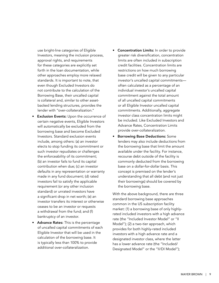use bright-line categories of Eligible Investors, meaning the inclusion process, approval rights, and requirements for these categories are explicitly set forth in the loan documentation, while other approaches employ more relaxed standards. It is important to note, that even though Excluded Investors do not contribute to the calculation of the Borrowing Base, their uncalled capital is collateral and, similar to other assetbacked lending structures, provides the lender with "over-collateralization."

- Exclusion Events: Upon the occurrence of certain negative events, Eligible Investors will automatically be excluded from the borrowing base and become Excluded Investors. Standard exclusion events include, among others: (a) an investor elects to stop funding its commitment or such investor repudiates or challenges the enforceability of its commitment; (b) an investor fails to fund its capital contribution when due; (c) an investor defaults in any representation or warranty made in any fund document; (d) rated investors fail to satisfy the applicable requirement (or any other inclusion standard) or unrated investors have a significant drop in net worth; (e) an investor transfers its interest or otherwise ceases to be an investor or requests a withdrawal from the fund; and (f) bankruptcy of an investor.
- Advance Rates: This is the percentage of uncalled capital commitments of each Eligible Investor that will be used in the calculation of the borrowing base. It is typically less than 100% to provide additional over-collateralization.
- Concentration Limits: In order to provide greater risk diversification, concentration limits are often included in subscription credit facilities. Concentration limits are restrictions on how much borrowing base credit will be given to any particular investor's uncalled capital commitments often calculated as a percentage of an individual investor's uncalled capital commitment against the total amount of all uncalled capital commitments or all Eligible Investor uncalled capital commitments. Additionally, aggregate investor class concentration limits might be included. Like Excluded Investors and Advance Rates, Concentration Limits provide over-collateralization.
- **Borrowing Base Deductions: Some** lenders may also include deductions from the borrowing base that limit the amount available under the facility. For instance, recourse debt outside of the facility is commonly deducted from the borrowing base on a dollar-for-dollar basis. This concept is premised on the lender's understanding that all debt (and not just their borrowings) should be covered by the borrowing base.

With the above background, there are three standard borrowing base approaches common in the US subscription facility market: (1) a borrowing base of only highlyrated included investors with a high advance rate (the "Included Investor Model" or "II Model"); (2) a two-tier approach, which provides for both highly-rated included investors with a high advance rate and a designated investor class, where the latter has a lower advance rate (the "Included/ Designated Model" or the "II/DI Model");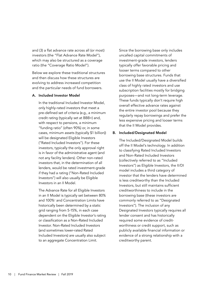<span id="page-13-0"></span>and (3) a flat advance rate across all (or most) investors (the "Flat Advance Rate Model"), which may also be structured as a coverage ratio (the "Coverage Ratio Model").

Below we explore these traditional structures and then discuss how these structures are evolving to address increased competition and the particular needs of fund borrowers.

### A. Included Investor Model

In the traditional Included Investor Model, only highly-rated investors that meet a pre-defined set of criteria (e.g., a minimum credit rating (typically set at BBB+) and, with respect to pensions, a minimum "funding ratio" (often 90%) or, in some cases, minimum assets (typically \$1 billion)) will be designated Eligible Investors ("Rated Included Investors"). For these investors, typically the only approval right is in favor of the administrative agent (and not any facility lenders). Other non-rated investors that, in the determination of all lenders, would be rated investment-grade if they had a rating ("Non-Rated Included Investors") will also usually be Eligible Investors in an II Model.

The Advance Rate for all Eligible Investors in an II Model is typically set between 80% and 100%[1](#page-17-0) and Concentration Limits have historically been determined by a static grid ranging from 5-15%, in each case dependent on the Eligible Investor's rating or classification as a Non-Rated Included Investor. Non-Rated Included Investors (and sometimes lower-rated Rated Included Investors) are usually also subject to an aggregate Concentration Limit.

Since the borrowing base only includes uncalled capital commitments of investment-grade investors, lenders typically offer favorable pricing and looser terms compared to other borrowing base structures. Funds that use the II Model usually have a diversified class of highly rated investors and use subscription facilities mostly for bridging purposes—and not long-term leverage. These funds typically don't require high overall effective advance rates against the entire investor pool because they regularly repay borrowings and prefer the less expensive pricing and looser terms that the II Model provides.

## B. Included/Designated Model

The Included/Designated Model builds off the II Model's technology. In addition to classifying Rated Included Investors and Non-Rated Included Investors (collectively referred to as "Included Investors") as Eligible Investors, the II/DI model includes a third category of investor that the lenders have determined is less creditworthy than the Included Investors, but still maintains sufficient creditworthiness to include in the borrowing base (these investors are commonly referred to as "Designated Investors"). The inclusion of any Designated Investors typically requires all lender consent and has historically required some evidence of creditworthiness or credit support, such as publicly available financial information or evidence of a strong relationship with a creditworthy parent.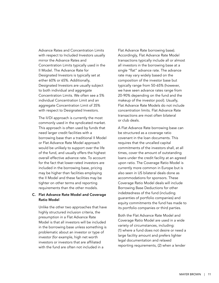Advance Rates and Concentration Limits with respect to Included Investors usually mirror the Advance Rates and Concentration Limits typically used in the II Model. The Advance Rate for Designated Investors is typically set at either 60% or 65%. Additionally, Designated Investors are usually subject to both individual and aggregate Concentration Limits. We often see a 5% individual Concentration Limit and an aggregate Concentration Limit of 35% with respect to Designated Investors.

The II/DI approach is currently the most commonly used in the syndicated market. This approach is often used by funds that need larger credit facilities with a borrowing base than a traditional II Model or Flat Advance Rate Model approach would be unlikely to support over the life of the fund, and usually offers the highest overall effective advance rate. To account for the fact that lower-rated investors are included in the borrowing base, pricing may be higher than facilities employing the II Model and these facilities may be tighter on other terms and reporting requirements than the other models.

## C. Flat Advance Rate Model and Coverage Ratio Model

Unlike the other two approaches that have highly structured inclusion criteria, the presumption in a Flat Advance Rate Model is that all investors will be included in the borrowing base unless something is problematic about an investor or type of investor (for example, high net worth investors or investors that are affiliated with the fund are often not included in a

Flat Advance Rate borrowing base). Accordingly, Flat Advance Rate Model transactions typically include all or almost all investors in the borrowing base at a single "flat" advance rate. The advance rate may vary widely based on the composition of the investor base but typically range from 50-65% (however, we have seen advance rates range from 20-90% depending on the fund and the makeup of the investor pool). Usually, Flat Advance Rate Models do not include concentration limits. Flat Advance Rate transactions are most often bilateral or club deals.

A Flat Advance Rate borrowing base can be structured as a coverage ratio covenant in the loan documents. This requires that the uncalled capital commitments of the investors shall, at all times, cover the amount of outstanding loans under the credit facility at an agreed upon ratio. The Coverage Ratio Model is currently more common in Europe but is also seen in US bilateral deals done as accommodations for sponsors. These Coverage Ratio Model deals will include Borrowing Base Deductions for other indebtedness of the fund (including guaranties of portfolio companies) and equity commitments the fund has made to its portfolio companies or third parties.

Both the Flat Advance Rate Model and Coverage Ratio Model are used in a wide variety of circumstances, including: (1) where a fund does not desire or need a large facility amount and prefers lighter legal documentation and relaxed reporting requirements, (2) when a lender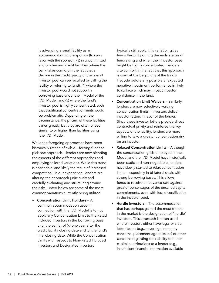is advancing a small facility as an accommodation to the sponsor (to curry favor with the sponsor), (3) in uncommitted and on-demand credit facilities (where the bank takes comfort in the fact that a decline in the credit quality of the overall investor pool can be rectified by calling the facility or refusing to fund), (4) where the investor pool would not support a borrowing base under the II Model or the II/DI Model, and (5) where the fund's investor pool is highly concentrated, such that traditional concentration limits would be problematic. Depending on the circumstance, the pricing of these facilities varies greatly, but they are often priced similar to or higher than facilities using the II/DI Model.

While the foregoing approaches have been historically rather inflexible—forcing funds to pick one approach—lenders are now blending the aspects of the different approaches and employing tailored variations. While this trend is noticeable (and likely the result of increased competition), in our experience, lenders are altering their approach judiciously and carefully evaluating and structuring around the risks. Listed below are some of the more common variations currently being utilized:

• Concentration Limit Holidays  $- A$ common accommodation used in connection with the II/DI Model is to not apply any Concentration Limit to the Rated Included Investors in the borrowing base until the earlier of (x) one year after the credit facility closing date and (y) the fund's final closing date. While the Concentration Limits with respect to Non-Rated Included Investors and Designated Investors

typically still apply, this variation gives funds flexibility during the early stages of fundraising and when their investor base might be highly concentrated. Lenders cite comfort in the fact that this approach is used at the beginning of the fund's lifecycle before any possible unexpected negative investment performance is likely to surface which may impact investor confidence in the fund.

- Concentration Limit Waivers Similarly lenders are now selectively waiving concentration limits if investors deliver investor letters in favor of the lender. Since these investor letters provide direct contractual privity and reinforce the key aspects of the facility, lenders are more willing to take a greater concentration risk on an investor.
- Relaxed Concentration Limits Although the concentration grids employed in the II Model and the II/DI Model have historically been static and non-negotiable, lenders have slowly started to relax concentration limits—especially in bi-lateral deals with strong borrowing bases. This allows funds to receive an advance rate against greater percentages of the uncalled capital commitments, even with less diversification in the investor pool.
- Hurdle Investors The accommodation that has perhaps gained the most traction in the market is the designation of "hurdle" investors. This approach is often used where investors either have legal or side letter issues (e.g., sovereign immunity concerns, placement agent issues) or other concerns regarding their ability to honor capital contributions to a lender (e.g., insufficient financial information available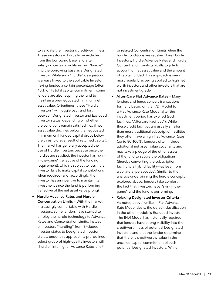to validate the investor's creditworthiness). These investors will initially be excluded from the borrowing base, and after satisfying certain conditions, will "hurdle" into the borrowing base as a Designated Investor. While such "hurdle" designation is always linked to the applicable Investor having funded a certain percentage (often 40%) of its total capital commitment, some lenders are also requiring the fund to maintain a pre-negotiated minimum net asset value. Oftentimes, these "Hurdle Investors" will toggle back and forth between Designated Investor and Excluded Investor status, depending on whether the conditions remain satisfied (i.e., if net asset value declines below the negotiated minimum or if funded capital drops below the threshold as a result of returned capital). The market has generally accepted the use of Hurdle Investors because once the hurdles are satisfied, the investor has "skinin-the-game" (reflective of the funding requirement), which is subject to loss if the investor fails to make capital contributions when required<sup>[2](#page-17-0)</sup> and, accordingly, the investor has an incentive to maintain its investment since the fund is performing (reflective of the net asset value prong).

• Hurdle Advance Rates and Hurdle Concentration Limits – With the market increasingly comfortable with Hurdle Investors, some lenders have started to employ the hurdle technology to Advance Rates and Concentration Limits. Instead of investors "hurdling" from Excluded Investor status to Designated Investor status, under this approach, a pre-defined select group of high-quality investors will "hurdle" into higher Advance Rates and/

or relaxed Concentration Limits when the hurdle conditions are satisfied. Like Hurdle Investors, Hurdle Advance Rates and Hurdle Concentration Limits typically toggle to account for net asset value and the amount of capital funded. This approach is seen most regularly as being applied to high net worth investors and other investors that are not investment grade.

- After-Care Flat Advance Rates Many lenders and funds convert transactions formerly based on the II/DI Model to a Flat Advance Rate Model after the investment period has expired (such facilities, "Aftercare Facilities"). While these credit facilities are usually smaller than more traditional subscription facilities, they often have a high Flat Advance Rates (up to 80-100%). Lenders often include additional net asset value covenants and may take a pledge of the other assets of the fund to secure the obligations (thereby converting the subscription facility to a hybrid facility—at least from a collateral perspective). Similar to the analysis underpinning the hurdle concepts explored above, lenders take comfort in the fact that investors have "skin-in-thegame" and the fund is performing.
- Relaxing Designated Investor Criteria As noted above, unlike in Flat Advance Rate Model deals, the default classification in the other models is Excluded Investor. The II/DI Model has historically required that lenders have strong visibility into the creditworthiness of potential Designated Investors and that the lender determine that there is creditworthy value in the uncalled capital commitment of such potential Designated Investors. While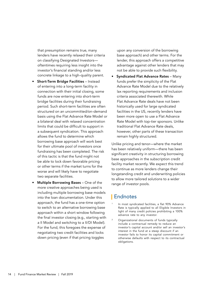<span id="page-17-0"></span>that presumption remains true, many lenders have recently relaxed their criteria on classifying Designated Investors oftentimes requiring less insight into the investor's financial standing and/or less concrete linkage to a high-quality parent.

- Short-Term Bridge Facilities Instead of entering into a long-term facility in connection with their initial closing, some funds are now entering into short-term bridge facilities during their fundraising period. Such short-term facilities are often structured on an uncommitted/on-demand basis using the Flat Advance Rate Model or a bilateral deal with relaxed concentration limits that could be difficult to support in a subsequent syndication. This approach allows the fund to determine which borrowing base approach will work best for their ultimate pool of investors once fundraising has been completed. The risk of this tactic is that the fund might not be able to lock down favorable pricing or other terms if the market turns for the worse and will likely have to negotiate two separate facilities.
- Multiple Borrowing Bases One of the more creative approaches being used is including multiple borrowing base models into the loan documentation. Under this approach, the fund has a one-time option to switch to an alternative borrowing base approach within a short window following the final investor closing (e.g., starting with a II Model and switching to a II/DI Model). For the fund, this foregoes the expense of negotiating two credit facilities and locks down pricing (even if that pricing toggles

upon any conversion of the borrowing base approach) and other terms. For the lender, this approach offers a competitive advantage against other lenders that may not be able to provide such flexibility.

Syndicated Flat Advance Rates - Many funds prefer the simplicity of the Flat Advance Rate Model due to the relatively lax reporting requirements and inclusion criteria associated therewith. While Flat Advance Rate deals have not been historically used for large syndicated facilities in the US, recently lenders have been more open to use a Flat Advance Rate Model with top-tier sponsors. Unlike traditional Flat Advance Rate deals, however, other parts of these transaction remain highly structured.

Unlike pricing and tenor—where the market has been relatively uniform—there has been significant creativity in structuring borrowing base approaches in the subscription credit facility market recently. We expect this trend to continue as more lenders change their longstanding credit and underwriting policies to allow more tailored solutions to a wider range of investor pools.

## Endnotes

- In most syndicated facilities, a flat 90% Advance Rate is typically applied to all Eligible Investors in light of many credit policies prohibiting a 100% advance rate to any investor.
- <sup>2</sup> Organizational documents of funds typically include a contractual remedy to reduce an investor's capital account and/or sell an investor's interest in the fund at a steep discount if an investor fails to honor its capital commitment or otherwise defaults with respect to its contractual obligations.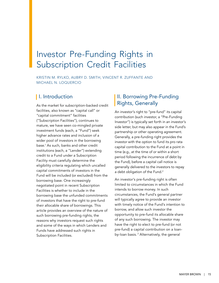## <span id="page-18-0"></span>Investor Pre-Funding Rights in Subscription Credit Facilities

KRISTIN M. RYLKO, AUBRY D. SMITH, VINCENT R. ZUFFANTE AND MICHAEL N. LOQUERCIO

## | I. Introduction

As the market for subscription-backed credit facilities, also known as "capital call" or "capital commitment" facilities ("Subscription Facilities"), continues to mature, we have seen co-mingled private investment funds (each, a "Fund") seek higher advance rates and inclusion of a wider pool of investors in the borrowing base[.1](#page-22-0) As such, banks and other credit institutions (each, a "Lender") extending credit to a Fund under a Subscription Facility must carefully determine the eligibility criteria regulating which uncalled capital commitments of investors in the Fund will be included (or excluded) from the borrowing base. One increasingly negotiated point in recent Subscription Facilities is whether to include in the borrowing base the unfunded commitments of investors that have the right to pre-fund their allocable share of borrowings. This article provides an overview of the nature of such borrowing pre-funding rights, the reasons why investors request such rights and some of the ways in which Lenders and Funds have addressed such rights in Subscription Facilities.

## II. Borrowing Pre-Funding Rights, Generally

An investor's right to "pre-fund" its capital contribution (such investor, a "Pre-Funding Investor") is typically set forth in an investor's side letter, but may also appear in the Fund's partnership or other operating agreement. Generally, a pre-funding right provides the investor with the option to fund its pro rata capital contribution to the Fund at a point in time (e.g., at the time of or within a short period following the incurrence of debt by the Fund), before a capital call notice is generally delivered to the investors to repay a debt obligation of the Fund.<sup>[2](#page-22-0)</sup>

An investor's pre-funding right is often limited to circumstances in which the Fund intends to borrow money. In such circumstances, the Fund's general partner will typically agree to provide an investor with timely notice of the Fund's intention to borrow, and allow such investor the opportunity to pre-fund its allocable share of any such borrowing. The investor may have the right to elect to pre-fund (or not pre-fund) a capital contribution on a loanby-loan basis. [3](#page-22-0) Alternatively, the general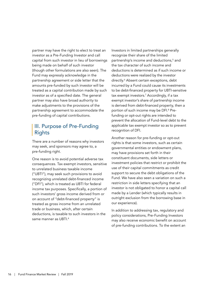<span id="page-19-0"></span>partner may have the right to elect to treat an investor as a Pre-Funding Investor and call capital from such investor in lieu of borrowings being made on behalf of such investor (though other formulations are also seen). The Fund may expressly acknowledge in the partnership agreement or side letter that the amounts pre-funded by such investor will be treated as a capital contribution made by such investor as of a specified date. The general partner may also have broad authority to make adjustments to the provisions of the partnership agreement to accommodate the pre-funding of capital contributions.

## **III. Purpose of Pre-Funding** Rights

There are a number of reasons why investors may seek, and sponsors may agree to, a pre-funding right.

One reason is to avoid potential adverse tax consequences. Tax exempt investors, sensitive to unrelated business taxable income ("UBTI"), may seek such provisions to avoid recognizing unrelated debt-financed income ("DFI"), which is treated as UBTI for federal income tax purposes. Specifically, a portion of such investors' gross income derived from or on account of "debt-financed property" is treated as gross income from an unrelated trade or business, which, after certain deductions, is taxable to such investors in the same manner as UBTI.[4](#page-22-0)

Investors in limited partnerships generally recognize their share of the limited partnership's income and deductions,<sup>[5](#page-22-0)</sup> and the tax character of such income and deductions is determined as if such income or deductions were realized by the investor directly[.6](#page-22-0) Absent certain exceptions, debt incurred by a Fund could cause its investments to be debt-financed property for UBTI-sensitive tax exempt investors[.7](#page-22-0) Accordingly, if a tax exempt investor's share of partnership income is derived from debt-financed property, then a portion of such income may be DFI.[8](#page-22-0) Prefunding or opt-out rights are intended to prevent the allocation of Fund-level debt to the applicable tax exempt investor so as to prevent recognition of DFI.

Another reason for pre-funding or opt-out rights is that some investors, such as certain governmental entities or endowment plans, may have provisions set forth in their constituent documents, side letters or investment policies that restrict or prohibit the use of their capital commitments as credit support to secure the debt obligations of the Fund. We have also seen a variation on such a restriction in side letters specifying that an investor is not obligated to honor a capital call made by a Lender (which typically results in outright exclusion from the borrowing base in our experience).

In addition to addressing tax, regulatory and policy considerations, Pre-Funding Investors may also receive economic benefit on account of pre-funding contributions. To the extent an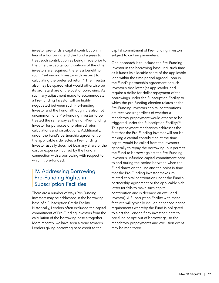<span id="page-20-0"></span>investor pre-funds a capital contribution in lieu of a borrowing and the Fund agrees to treat such contribution as being made prior to the time the capital contributions of the other investors are required, there is a benefit to such Pre-Funding Investor with respect to calculating the preferred return[.9](#page-22-0) The investor also may be spared what would otherwise be its pro rata share of the cost of borrowing. As such, any adjustment made to accommodate a Pre-Funding Investor will be highly negotiated between such Pre-Funding Investor and the Fund, although it is also not uncommon for a Pre-Funding Investor to be treated the same way as the non-Pre-Funding Investor for purposes of preferred return calculations and distributions. Additionally, under the Fund's partnership agreement or the applicable side letter, a Pre-Funding Investor usually does not bear any share of the cost or expense incurred by the Fund in connection with a borrowing with respect to which it pre-funded.

## IV. Addressing Borrowing Pre-Funding Rights in Subscription Facilities

There are a number of ways Pre-Funding Investors may be addressed in the borrowing base of a Subscription Credit Facility. Historically, Lenders often excluded the capital commitment of Pre-Funding Investors from the calculation of the borrowing base altogether. More recently, we have seen a trend towards Lenders giving borrowing base credit to the

capital commitment of Pre-Funding Investors subject to certain parameters.

One approach is to include the Pre-Funding Investor in the borrowing base until such time as it funds its allocable share of the applicable loan within the time period agreed upon in the Fund's partnership agreement or such investor's side letter (as applicable), and require a dollar-for-dollar repayment of the borrowings under the Subscription Facility to which the pre-funding election relates as the Pre-Funding Investors capital contributions are received (regardless of whether a mandatory prepayment would otherwise be triggered under the Subscription Facility)[.10](#page-22-0) This prepayment mechanism addresses the fact that the Pre-Funding Investor will not be making a capital contribution at the time capital would be called from the investors generally to repay the borrowing, but permits the Fund to borrow against the Pre-Funding Investor's unfunded capital commitment prior to and during the period between when the Fund draws on the line and the point in time that the Pre-Funding Investor makes its related capital contribution under the Fund's partnership agreement or the applicable side letter (or fails to make such capital contribution and is deemed an excluded investor). A Subscription Facility with these features will typically include enhanced notice requirements whereby the Fund is obligated to alert the Lender if any investor elects to pre-fund or opt-out of borrowings, so the mandatory prepayments and exclusion event may be monitored.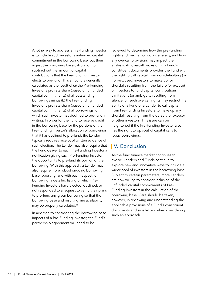<span id="page-21-0"></span>Another way to address a Pre-Funding Investor is to include such investor's unfunded capital commitment in the borrowing base, but then adjust the borrowing base calculation to subtract out the amount of capital contributions that the Pre-Funding Investor elects to pre-fund. This amount is generally calculated as the result of (a) the Pre-Funding Investor's pro rata share (based on unfunded capital commitments) of all outstanding borrowings minus (b) the Pre-Funding Investor's pro rata share (based on unfunded capital commitments) of all borrowings for which such investor has declined to pre-fund in writing. In order for the Fund to receive credit in the borrowing base for the portions of the Pre-Funding Investor's allocation of borrowings that it has declined to pre-fund, the Lender typically requires receipt of written evidence of such election. The Lender may also require that the Fund deliver to each Pre-Funding Investor a notification giving such Pre-Funding Investor the opportunity to pre-fund its portion of the borrowing. With this approach, a Lender may also require more robust ongoing borrowing base reporting, and with each request for borrowing, a detailed listing of which Pre-Funding Investors have elected, declined, or not responded to a request to verify their plans to pre-fund any given borrowing so that the borrowing base and resulting line availability may be properly calculated[.11](#page-22-0)

In addition to considering the borrowing base impacts of a Pre-Funding Investor, the Fund's partnership agreement will need to be

reviewed to determine how the pre-funding rights and mechanics work generally, and how any overcall provisions may impact the analysis. An overcall provision in a Fund's constituent documents provides the Fund with the right to call capital from non-defaulting (or non-excused) investors to make up for shortfalls resulting from the failure (or excuse) of investors to fund capital contributions. Limitations (or ambiguity resulting from silence) on such overcall rights may restrict the ability of a Fund or a Lender to call capital from Pre-Funding Investors to make up any shortfall resulting from the default (or excuse) of other investors. This issue can be heightened if the Pre-Funding Investor also has the right to opt-out of capital calls to repay borrowings.

## V. Conclusion

As the fund finance market continues to evolve, Lenders and Funds continue to explore new and innovative ways to include a wider pool of investors in the borrowing base. Subject to certain parameters, more Lenders are now willing to consider inclusion of the unfunded capital commitments of Pre-Funding Investors in the calculation of the borrowing base. Care should be taken, however, in reviewing and understanding the applicable provisions of a Fund's constituent documents and side letters when considering such an approach.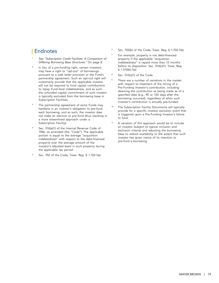## <span id="page-22-0"></span>Endnotes

- [1](#page-18-0) *See "Subscription Credit Facilities: A Comparison of Differing Borrowing Base Structures."* On page 8.
- In lieu of a pre-funding right, certain investors may have a right to "opt-out" of borrowings pursuant to a side letter provision or the Fund's partnership agreement. Such an opt-out right will customarily provide that the applicable investor will not be required to fund capital contributions to repay Fund-level indebtedness, and as such, the unfunded capital commitment of such investor is typically excluded from the borrowing base in Subscription Facilities.
- The partnership agreement of some Funds may hardwire in an investor's obligation to pre-fund each borrowing, and as such, the investor dœs not make an election to pre-fund (thus resulting in a more streamlined approach under a Subscription Facility).
- Sec. 51[4](#page-19-0)(a)(1) of the Internal Revenue Code of 1986, as amended (the "Code"). The applicable portion is equal to the average "acquisition indebtedness" with respect to the debt-financed property over the average amount of the investor's adjusted basis in such property during the applicable tax period.
- [5](#page-19-0) Sec. 702 of the Code; Treas. Reg. § 1.702-1(a).
- [6](#page-19-0) Sec. 702(b) of the Code; Treas. Reg. § 1.702-1(b).
- For example, property is not debt-financed property if the applicable "acquisition indebtedness" is repaid more than 12 months before its disposition. Sec. 514(c)(1); Treas. Reg. § 1.514(b)-1(a).
- Sec.  $512(c)(1)$  of the Code.
- There are a number of variations in the market with respect to treatment of the timing of a Pre-Funding Investor's contribution, including deeming the contribution as being made as of a specified date (e.g., 90 or 120 days after the borrowing occurred), regardless of when such investor's contribution is actually pre-funded.
- The Subscription Facility Documents will typically provide for a specific investor exclusion event that is triggered upon a Pre-Funding Investor's failure to fund.
- [11](#page-21-0) A variation of this approach would be to include an investor (subject to typical inclusion and exclusion criteria) and adjusting the borrowing base to reduce availability to the extent that such investor has given notice of its intention to pre-fund a borrowing.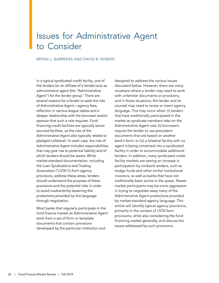## <span id="page-23-0"></span>Issues for Administrative Agent to Consider

### BRYAN L. BARRERAS AND DAVID B. KOBRAY

In a typical syndicated credit facility, one of the lenders (or an affiliate of a lender) acts as administrative agent (the "Administrative Agent") for the lender group[.1](#page-27-0) There are several reasons for a lender to seek the role of Administrative Agent—agency fees, reflection in various league tables and a deeper relationship with the borrower and/or sponsor that such a role requires. Fund financing credit facilities are typically senior secured facilities, so the role of the Administrative Agent also typically relates to pledged collateral.<sup>2</sup> In each case, the role of Administrative Agent includes responsibilities that may give rise to potential liability and of which lenders should be aware. While market-standard documentation, including the Loan Syndications and Trading Association ("LSTA")'s form agency provisions, address these areas, lenders should understand the purpose of these provisions and the potential risks in order to avoid inadvertently lessening the protections provided by this language through negotiation.

Most banks that regularly participate in the fund finance market as Administrative Agent work from a set of form or template documents that contain provisions developed by the particular institution and

designed to address the various issues discussed below. However, there are many situations where a lender may need to work with unfamiliar documents or provisions, and in these situations, the lender and its counsel may need to revise or insert agency language. This may occur when: (i) lenders that have traditionally participated in the market as syndicate members take on the Administrative Agent role; (ii) borrowers require the lender to use precedent documents that are based on another bank's form; or (iii) a bilateral facility with no agent is being converted into a syndicated facility in order to accommodate additional lenders. In addition, many syndicated credit facility markets are seeing an increase in participation by nonbank lenders, such as hedge funds and other similar institutional investors, as well as banks that have not traditionally been active in the space. Newer market participants may be more aggressive in trying to negotiate away many of the Administrative Agent protections provided by market-standard agency language. This article will identify typical agency provisions, primarily in the context of LSTA form provisions, while also considering the fund financing market generally, and discuss the issues addressed by such provisions.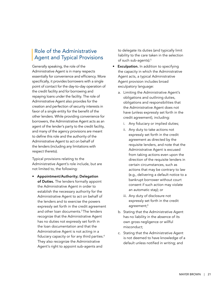## <span id="page-24-0"></span>Role of the Administrative Agent and Typical Provisions

Generally speaking, the role of the Administrative Agent is in many respects essentially for convenience and efficiency. More specifically, it provides borrowers with a single point of contact for the day-to-day operation of the credit facility and for borrowing and repaying loans under the facility. The role of Administrative Agent also provides for the creation and perfection of security interests in favor of a single entity for the benefit of the other lenders. While providing convenience for borrowers, the Administrative Agent acts as an agent of the lender's party to the credit facility, and many of the agency provisions are meant to define this role and the authority of the Administrative Agent to act on behalf of the lenders (including any limitations with respect thereto).

Typical provisions relating to the Administrative Agent's role include, but are not limited to, the following:

• Appointment/Authority; Delegation of Duties. The lenders formally appoint the Administrative Agent in order to establish the necessary authority for the Administrative Agent to act on behalf of the lenders and to exercise the powers expressly set forth in the credit agreement and other loan documents.[3](#page-27-0) The lenders recognize that the Administrative Agent has no duties not expressly set forth in the loan documentation and that the Administrative Agent is not acting in a fiduciary capacity or for any third parties.[4](#page-27-0) They also recognize the Administrative Agent's right to appoint sub-agents and

to delegate its duties (and typically limit liability to the care taken in the selection of such sub-agents)[.5](#page-27-0)

- Exculpation. In addition to specifying the capacity in which the Administrative Agent acts, a typical Administrative Agent provision includes broad exculpatory language:
	- a. Limiting the Administrative Agent's obligations and outlining duties, obligations and responsibilities that the Administrative Agent does not have (unless expressly set forth in the credit agreement), including:
		- i. Any fiduciary or implied duties;
		- ii. Any duty to take actions not expressly set forth in the credit agreement as directed by the requisite lenders, and note that the Administrative Agent is excused from taking actions even upon the direction of the requisite lenders in certain circumstances, such as actions that may be contrary to law (e.g., delivering a default notice to a bankrupt borrower without court consent if such action may violate an automatic stay); or
		- iii. Any duty of disclosure not expressly set forth in the credit agreement;<sup>[6](#page-27-0)</sup>
	- b. Stating that the Administrative Agent has no liability in the absence of its own gross negligence or willful misconduct;
	- c. Stating that the Administrative Agent is not deemed to have knowledge of a default unless notified in writing; and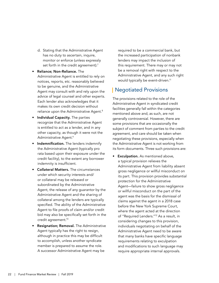- <span id="page-25-0"></span>d. Stating that the Administrative Agent has no duty to ascertain, inquire, monitor or enforce (unless expressly set forth in the credit agreement).<sup>7</sup>
- Reliance; Non-Reliance. The Administrative Agent is entitled to rely on notices, reports, etc. reasonably believed to be genuine, and the Administrative Agent may consult with and rely upon the advice of legal counsel and other experts. Each lender also acknowledges that it makes its own credit decision without reliance upon the Administrative Agent.[8](#page-27-0)
- Individual Capacity. The parties recognize that the Administrative Agent is entitled to act as a lender, and in any other capacity, as though it were not the Administrative Agent[.9](#page-27-0)
- Indemnification. The lenders indemnify the Administrative Agent (typically pro rata based upon their exposure under the credit facility), to the extent any borrower indemnity is insufficient.
- Collateral Matters. The circumstances under which security interests and/ or collateral may be released or subordinated by the Administrative Agent, the release of any guarantor by the Administrative Agent and the sharing of collateral among the lenders are typically specified. The ability of the Administrative Agent to file proofs of claim and/or credit bid may also be specifically set forth in the credit agreement[.10](#page-27-0)
- Resignation; Removal. The Administrative Agent typically has the right to resign, although in practice this may be difficult to accomplish, unless another syndicate member is prepared to assume the role. A successor Administrative Agent may be

required to be a commercial bank, but the increased participation of nonbank lenders may impact the inclusion of this requirement. There may or may not be a removal right with respect to the Administrative Agent, and any such right would typically be event-driven.<sup>11</sup>

## Negotiated Provisions

The provisions related to the role of the Administrative Agent in syndicated credit facilities generally fall within the categories mentioned above and, as such, are not generally controversial. However, there are some provisions that are occasionally the subject of comment from parties to the credit agreement, and care should be taken when negotiating these provisions, especially when the Administrative Agent is not working from its form documents. Three such provisions are:

**Exculpation.** As mentioned above, a typical provision relieves the Administrative Agent from liability absent gross negligence or willful misconduct on its part. This provision provides substantial protection for the Administrative Agent—failure to show gross negligence or willful misconduct on the part of the agent was the basis for the dismissal of claims against the agent in a 2018 case before the New York Supreme Court, where the agent acted at the direction of "Required Lenders.["12](#page-27-0) As a result, in considering changes to this provision, individuals negotiating on behalf of the Administrative Agent need to be aware that many banks have specific language requirements relating to exculpation and modifications to such language may require appropriate internal approvals.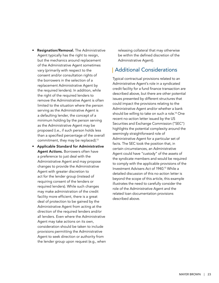- <span id="page-26-0"></span>• Resignation/Removal. The Administrative Agent typically has the right to resign, but the mechanics around replacement of the Administrative Agent sometimes vary (primarily with respect to the consent and/or consultation rights of the borrowers in the selection of a replacement Administrative Agent by the required lenders). In addition, while the right of the required lenders to remove the Administrative Agent is often limited to the situation where the person serving as the Administrative Agent is a defaulting lender, the concept of a minimum holding by the person serving as the Administrative Agent may be proposed (i.e., if such person holds less than a specified percentage of the overall commitment, they may be replaced).<sup>13</sup>
- Applicable Standard for Administrative Agent Actions. Borrowers often have a preference to just deal with the Administrative Agent and may propose changes to provide the Administrative Agent with greater discretion to act for the lender group (instead of requiring consent of the lenders or required lenders). While such changes may make administration of the credit facility more efficient, there is a great deal of protection to be gained by the Administrative Agent from acting at the direction of the required lenders and/or all lenders. Even where the Administrative Agent may take actions on its own, consideration should be taken to include provisions permitting the Administrative Agent to seek direction or authority from the lender group upon request (e.g., when

releasing collateral that may otherwise be within the defined discretion of the Administrative Agent).

## **Additional Considerations**

Typical contractual provisions related to an Administrative Agent's role in a syndicated credit facility for a fund finance transaction are described above, but there are other potential issues presented by different structures that could impact the provisions relating to the Administrative Agent and/or whether a bank should be willing to take on such a role[.14](#page-27-0) One recent no-action letter issued by the US Securities and Exchange Commission ("SEC") highlights the potential complexity around the seemingly straightforward role of Administrative Agent for a particular set of facts. The SEC took the position that, in certain circumstances, an Administrative Agent could have "custody" of the assets of the syndicate members and would be required to comply with the applicable provisions of the Investment Advisers Act of 1940[.15](#page-27-0) While a detailed discussion of this no-action letter is beyond the scope of this article, this example illustrates the need to carefully consider the role of the Administrative Agent and the related loan documentation provisions described above.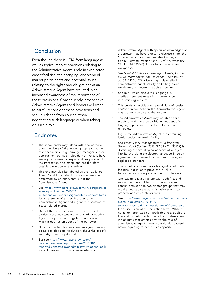## <span id="page-27-0"></span>Conclusion

Even though there is LSTA form language as well as typical market provisions relating to the Administrative Agent's role in syndicated credit facilities, the changing landscape of market participants and potential issues relating to the rights and obligations of an Administrative Agent have resulted in an increased awareness of the importance of these provisions. Consequently, prospective Administrative Agents and lenders will want to carefully consider these provisions and seek guidance from counsel when negotiating such language or when taking on such a role.

## **Endnotes**

- The same lender may, along with one or more other members of the lender group, also act in other capacities—e.g., arranger, manager and/or bookrunner—but such roles do not typically have any rights, powers or responsibilities pursuant to the transaction documents and are therefore outside the scope of this article.
- This role may also be labeled as the "Collateral Agent," and in certain circumstances, may be performed by an entity that is not the Administrative Agent.
- <sup>[3](#page-24-0)</sup> See [https://www.mayerbrown.com/en/perspectives](https://www.mayerbrown.com/en/perspectives-events/publications/2015/03/limitations-on-lender-assignments-to-competitors-i)[events/publications/2015/03/](https://www.mayerbrown.com/en/perspectives-events/publications/2015/03/limitations-on-lender-assignments-to-competitors-i) [limitations-on-lender-assignments-to-competitors-i](https://www.mayerbrown.com/en/perspectives-events/publications/2015/03/limitations-on-lender-assignments-to-competitors-i) for an example of a specified duty of an Administrative Agent and a general discussion of issues related thereto.
- One of the exceptions with respect to third parties is the maintenance by the Administrative Agent of a participant register, if applicable, which it does as an agent of the borrower.
- <sup>[5](#page-24-0)</sup> Note that under New York law, an agent may not be able to delegate its duties without the specific authority from the principal.
- But see [https://www.mayerbrown.com/](https://www.mayerbrown.com/perspectives-events/publications/2010/10/renewed-concerns-over-administrative-agent-liabili) perspectives-events/publications/2010/10/ renewed-concerns-over-administrative-agent-liabili for a discussion of circumstances where an

Administrative Agent with "peculiar knowledge" of a borrower may have a duty to disclose under the "special facts" doctrine. See also *Harbinger Capital Partners Master Fund I, Ltd. vs. Wachovia*, 27 Misc 3d 1236(A), for a discussion of these exceptions.

- See Stanfield Offshore Leveraged Assets, Ltd., et *al*., *vs. Metropolitan Life Insurance Company, et al.,* 64 A.D.3d 472, dismissing a claim alleging administrative agent liability and citing broad exculpatory language in credit agreement.
- See ibid, which also cited language in credit agreement regarding non-reliance in dismissing a claim.
- This provision avoids any general duty of loyalty and/or non-competition the Administrative Agent might otherwise owe to the lenders.
- The Administrative Agent may be able to file proofs of claim and credit bid without specific language, pursuant to its ability to exercise remedies.
- [11](#page-25-0) E.g., if the Administrative Agent is a defaulting lender under the credit facility.
- <sup>12</sup> See *Eaton Vance Management v. Wilmington Savings Fund Society*, 2018 NY Slip Op 30727(U), dismissing a claim alleging administrative agent liability and citing exculpatory language in credit agreement and failure to show breach by agent of applicable standard.
- <sup>13</sup> This is not often seen in widely syndicated credit facilities, but is more prevalent in "club" transactions involving a small group of lenders.
- <sup>[14](#page-26-0)</sup> One example is a structure with both first and second lien debtholders, which may present conflict between the two debtor groups that may require two separate administrative agents to properly address such conflicts.

[15](#page-26-0) See [https://www.mayerbrown.com/en/perspectives](https://www.mayerbrown.com/en/perspectives-events/publications/2018/12/sec-grants-conditional-noaction-relief-from-the-cu)[events/publications/2018/12/](https://www.mayerbrown.com/en/perspectives-events/publications/2018/12/sec-grants-conditional-noaction-relief-from-the-cu) [sec-grants-conditional-noaction-relief-from-the-cu](https://www.mayerbrown.com/en/perspectives-events/publications/2018/12/sec-grants-conditional-noaction-relief-from-the-cu) for a discussion of this no-action letter. While this no-action letter was not applicable to a traditional financial institution acting as administrative agent, it highlights that entities new to the role of administrative agent should consult with counsel before agreeing to act in such capacity.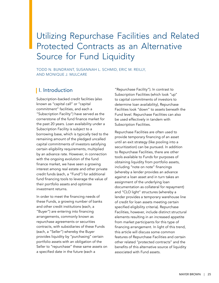## <span id="page-28-0"></span>Utilizing Repurchase Facilities and Related Protected Contracts as an Alternative Source for Fund Liquidity

TODD N. BUNDRANT, SUSANNAH L. SCHMID, ERIC M. REILLY, AND MONIQUE J. MULCARE

## | I. Introduction

Subscription-backed credit facilities (also known as "capital call" or "capital commitment" facilities, and each a "Subscription Facility") have served as the cornerstone of the fund finance market for the past 20 years. Loan availability under a Subscription Facility is subject to a borrowing base, which is typically tied to the remaining amount of the pledged uncalled capital commitments of investors satisfying certain eligibility requirements, multiplied by an advance rate. However, in connection with the ongoing evolution of the fund finance market, we have seen a growing interest among real estate and other private credit funds (each, a "Fund") for additional fund financing tools to leverage the value of their portfolio assets and optimize investment returns.

In order to meet the financing needs of these Funds, a growing number of banks and other credit institutions (each, a "Buyer") are entering into financing arrangements, commonly known as repurchase agreements or securities contracts, with subsidiaries of these Funds (each, a "Seller") whereby the Buyer provides liquidity by "purchasing" certain portfolio assets with an obligation of the Seller to "repurchase" these same assets on a specified date in the future (each a

"Repurchase Facility")*.* In contrast to Subscription Facilities (which look "up" to capital commitments of investors to determine loan availability), Repurchase Facilities look "down" to assets beneath the Fund level. Repurchase Facilities can also be used effectively in tandem with Subscription Facilities.

Repurchase Facilities are often used to provide temporary financing of an asset until an exit strategy (like pooling into a securitization) can be pursued. In addition to Repurchase Facilities, there are other tools available to Funds for purposes of obtaining liquidity from portfolio assets, including "note on note" financings (whereby a lender provides an advance against a loan asset and in turn takes an assignment of the underlying loan documentation as collateral for repayment) and "CLO light" structures (whereby a lender provides a temporary warehouse line of credit for loan assets meeting certain specified eligibility criteria). Repurchase Facilities, however, include distinct structural elements resulting in an increased appetite from market participants for this type of financing arrangement. In light of this trend, this article will discuss some common features of Repurchase Facilities and certain other related "protected contracts" and the benefits of this alternative source of liquidity associated with Fund assets.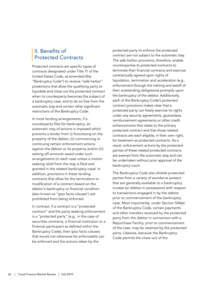## II. Benefits of Protected Contracts

Protected contracts are specific types of contracts designated under Title 11 of the United States Code, as amended (the "Bankruptcy Code") to receive "safe harbor" protections that allow the qualifying party to liquidate and close out the protected contract when its counterparty becomes the subject of a bankruptcy case, and to do so free from the automatic stay and certain other significant restrictions of the Bankruptcy Code.

In most lending arrangements, if a counterparty files for bankruptcy, an automatic stay of actions is imposed which prevents a lender from (i) foreclosing on the property of the debtor, (ii) commencing or continuing certain enforcement actions against the debtor or its property and/or (iii) setting off amounts owed under such arrangements (in each case unless a motion seeking relief from the stay is filed and granted in the related bankruptcy case). In addition, provisions in these lending contracts that allow for the termination or modification of a contract based on the debtor's bankruptcy or financial condition (also known as "ipso facto clauses") are prohibited from being enforced.

In contrast, if a contract is a "protected contract" and the party seeking enforcement is a "protected party" (e.g., in the case of securities contracts, a financial institution or a financial participant as defined within the Bankruptcy Code), then ipso facto clauses that would not otherwise be enforceable can be enforced and the actions taken by the

protected party to enforce the protected contract are not subject to the automatic stay. The safe harbor provisions, therefore, enable counterparties to protected contracts to terminate their financial contracts and exercise contractually agreed upon rights of liquidation, termination and acceleration (e.g., enforcement through the netting and setoff of then outstanding obligations) promptly upon the bankruptcy of the debtor. Additionally, each of the Bankruptcy Code's protected contract provisions makes clear that a protected party can freely exercise its rights under any security agreements, guarantees, reimbursement agreements or other credit enhancements that relate to the primary protected contract and that those related contracts are each eligible, in their own right, for treatment as protected contracts. As a result, enforcement actions by the protected parties of these related protected contracts are exempt from the automatic stay and can be undertaken without prior approval of the bankruptcy court.

The Bankruptcy Code also shields protected parties from a variety of avoidance powers that are generally available to a bankruptcy trustee (or debtor-in-possession) with respect to transactions engaged in by the debtor prior to commencement of the bankruptcy case. Most importantly, under Section 546(e) of the Bankruptcy Code, certain payments and other transfers received by the protected party from the debtor in connection with a Repurchase Facility, prior to commencement of the case, may be retained by the protected party. Likewise, because the Bankruptcy Code permits the close-out of the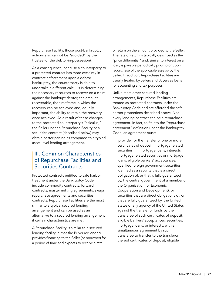Repurchase Facility, those post-bankruptcy actions also cannot be "avoided" by the trustee (or the debtor-in-possession).

As a consequence, because a counterparty to a protected contract has more certainty in contract enforcement upon a debtor bankruptcy, the counterparty is able to undertake a different calculus in determining the necessary resources to recover on a claim against the bankrupt debtor, the amount recoverable, the timeframe in which the recovery can be achieved and, equally important, the ability to retain the recovery once achieved. As a result of these changes to the protected counterparty's "calculus," the Seller under a Repurchase Facility or a securities contract (described below) may obtain better pricing as compared to a typical asset-level lending arrangement.

## III. Common Characteristics of Repurchase Facilities and Securities Contracts

Protected contracts entitled to safe harbor treatment under the Bankruptcy Code include commodity contracts, forward contracts, master netting agreements, swaps, repurchase agreements and securities contracts. Repurchase Facilities are the most similar to a typical secured lending arrangement and can be used as an alternative to a secured lending arrangement if certain characteristics are met.

A Repurchase Facility is similar to a secured lending facility in that the Buyer (or lender) provides financing to the Seller (or borrower) for a period of time and expects to receive a rate

of return on the amount provided to the Seller. The rate of return is typically described as the "price differential" and, similar to interest on a loan, is payable periodically prior to or upon repurchase of the applicable asset(s) by the Seller. In addition, Repurchase Facilities are usually treated by Sellers and Buyers as loans for accounting and tax purposes.

Unlike most other secured lending arrangements, Repurchase Facilities are treated as protected contracts under the Bankruptcy Code and are afforded the safe harbor protections described above. Not every lending contract can be a repurchase agreement. In fact, to fit into the "repurchase agreement" definition under the Bankruptcy Code, an agreement must:

[provide] for the transfer of one or more certificates of deposit, mortgage related securities . . . mortgage loans, interests in mortgage related securities or mortgage loans, eligible bankers' acceptances, qualified foreign government securities (defined as a security that is a direct obligation of, or that is fully guaranteed by, the central government of a member of the Organization for Economic Cooperation and Development), or securities that are direct obligations of, or that are fully guaranteed by, the [United](https://www.law.cornell.edu/definitions/uscode.php?width=840&height=800&iframe=true&def_id=11-USC-2032517217-71777920&term_occur=6&term_src=title:11:chapter:1:section:101)  [States](https://www.law.cornell.edu/definitions/uscode.php?width=840&height=800&iframe=true&def_id=11-USC-2032517217-71777920&term_occur=6&term_src=title:11:chapter:1:section:101) or any agency of the [United States](https://www.law.cornell.edu/definitions/uscode.php?width=840&height=800&iframe=true&def_id=11-USC-2032517217-71777920&term_occur=7&term_src=title:11:chapter:1:section:101) against the transfer of funds by the transferee of such certificates of deposit, eligible bankers' acceptances, securities, mortgage loans, or interests, with a simultaneous agreement by such transferee to transfer to the transferor thereof certificates of deposit, eligible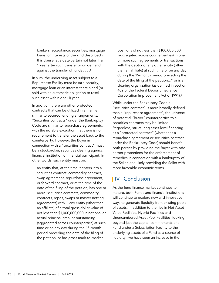<span id="page-31-0"></span>bankers' acceptance, securities, mortgage loans, or interests of the kind described in this clause, at a date certain not later than 1 year after such transfer or on demand, against the transfer of funds . . . .<sup>[1](#page-32-0)</sup>

In sum, the underlying asset subject to a Repurchase Facility must be (a) a security, mortgage loan or an interest therein and (b) sold with an automatic obligation to resell such asset within one (1) year.

In addition, there are other protected contracts that can be utilized in a manner similar to secured lending arrangements. "Securities contracts" under the Bankruptcy Code are similar to repurchase agreements, with the notable exception that there is no requirement to transfer the asset back to the counterparty. However, the Buyer in connection with a "securities contract" must be a stockbroker, securities clearing agency, financial institution or financial participant. In other words, such entity must be:

an entity that, at the time it enters into a securities contract, commodity contract, swap agreement, repurchase agreement, or forward contract, or at the time of the date of the filing of the petition, has one or more [securities contracts, commodity contracts, repos, swaps or master netting agreements] with …any entity (other than an affiliate) of a total gross dollar value of not less than \$1,000,000,000 in notional or actual principal amount outstanding (aggregated across counterparties) at such time or on any day during the 15-month period preceding the date of the filing of the petition, or has gross mark-to-market

positions of not less than \$100,000,000 (aggregated across counterparties) in one or more such agreements or transactions with the debtor or any other entity (other than an affiliate) at such time or on any day during the 15-month period preceding the date of the filing of the petition…" or is a clearing organization (as defined in section 402 of the Federal Deposit Insurance Corporation Improvement Act of 1991).<sup>[2](#page-32-0)</sup>

While under the Bankruptcy Code a "securities contract" is more broadly defined than a "repurchase agreement", the universe of potential "Buyer" counterparties to a securities contracts may be limited. Regardless, structuring asset-level financing as a "protected contract" (whether as a repurchase agreement or securities contract under the Bankruptcy Code) should benefit both parties by providing the Buyer with safe harbor protections for the enforcement of remedies in connection with a bankruptcy of the Seller, and likely providing the Seller with more favorable economic terms.

## IV. Conclusion

As the fund finance market continues to mature, both Funds and financial institutions will continue to explore new and innovative ways to generate liquidity from existing pools of assets. In addition to the rise in Net Asset Value Facilities, Hybrid Facilities and Unencumbered Asset Pool Facilities (looking beyond just the capital commitments of a Fund under a Subscription Facility to the underlying assets of a Fund as a source of liquidity), we have seen an increase in the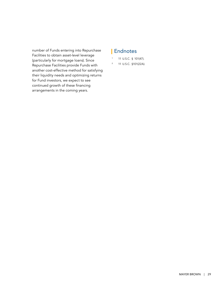<span id="page-32-0"></span>number of Funds entering into Repurchase Facilities to obtain asset-level leverage (particularly for mortgage loans). Since Repurchase Facilities provide Funds with another cost-effective method for satisfying their liquidity needs and optimizing returns for Fund investors, we expect to see continued growth of these financing arrangements in the coming years.

## Endnotes

- [1](#page-31-0) 11 U.S.C. § 101(47).
- [2](#page-31-0) 11 U.S.C. §101(22A).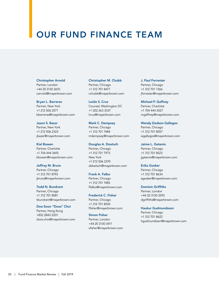## OUR FUND FINANCE TEAM

#### Christopher Arnold

Partner, London +44 20 3130 3610 [carnold@mayerbrown.com](mailto:carnold@mayerbrown.com)

Bryan L. Barreras Partner, New York +1 212 506 2571 [bbarreras@mayerbrown.com](mailto:bbarreras@mayerbrown.com)

Jason S. Bazar Partner, New York +1 212 506 2323 [jbazar@mayerbrown.com](mailto:jbazar@mayerbrown.com)

Kiel Bowen Partner, Charlotte +1 704 444 3692 [kbowen@mayerbrown.com](mailto:kbowen@mayerbrown.com)

Jeffrey M. Bruns Partner, Chicago +1 312 701 8793 [jbruns@mayerbrown.com](mailto:jbruns@mayerbrown.com)

Todd N. Bundrant Partner, Chicago +1 312 701 8081 [tbundrant@mayerbrown.com](mailto:tbundrant@mayerbrown.com)

Doo-Soon "Doos" Choi Partner, Hong Kong +852 2843 2201 [doos.choi@mayerbrown.com](mailto:doos.choi@mayerbrown.com) Christopher M. Chubb Partner, Chicago +1 312 701 8477 [cchubb@mayerbrown.com](mailto:cchubb@mayerbrown.com)

Leslie S. Cruz Counsel, Washington DC +1 202 263 3337 [lcruz@mayerbrown.com](mailto:lcruz@mayerbrown.com)

Mark C. Dempsey Partner, Chicago +1 312 701 7484 [mdempsey@mayerbrown.com](mailto:mdempsey@mayerbrown.com)

Douglas A. Doetsch Partner, Chicago +1 312 701 7973 New York +1 212 506 2370 [ddoetsch@mayerbrown.com](mailto:ddoetsch@mayerbrown.com)

Frank A. Falbo Partner, Chicago +1 312 701 7485 [ffalbo@mayerbrown.com](mailto:ffalbo@mayerbrown.com)

Frederick C. Fisher Partner, Chicago +1 312 701 8545 [ffisher@mayerbrown.com](mailto:ffisher@mayerbrown.com)

Simon Fisher Partner, London +44 20 3130 3411 [sfisher@mayerbrown.com](mailto:sfisher@mayerbrown.com) J. Paul Forrester Partner, Chicago +1 312 701 7366 [jforrester@mayerbrown.com](mailto:jforrester@mayerbrown.com)

Michael P. Gaffney Partner, Charlotte +1 704 444 3527 [mgaffney@mayerbrown.com](mailto:mgaffney@mayerbrown.com)

Wendy Dodson Gallegos Partner, Chicago +1 312 701 8057 [wgallegos@mayerbrown.com](mailto:wgallegos@mayerbrown.com)

Jaime L. Gatenio Partner, Chicago +1 312 701 8523 [jgatenio@mayerbrown.com](mailto:jgatenio@mayerbrown.com)

Erika Gosker Partner, Chicago +1 312 701 8634 [egosker@mayerbrown.com](mailto:egosker@mayerbrown.com)

Dominic Griffiths Partner, London +44 20 3130 3292 [dgriffiths@mayerbrown.com](mailto:dgriffiths@mayerbrown.com)

Haukur Gudmundsson Partner, Chicago +1 312 701 8622 [hgudmundsson@mayerbrown.com](mailto:hgudmundsson@mayerbrown.com)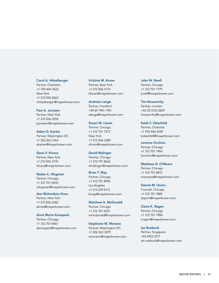#### Carol A. Hitselberger

Partner, Charlotte +1 704 444 3522 New York +1 212 506 2662 [chitselberger@mayerbrown.com](mailto:chitselberger@mayerbrown.com)

Paul A. Jorissen Partner, New York +1 212 506 2555 [pjorissen@mayerbrown.com](mailto:pjorissen@mayerbrown.com)

Adam D. Kanter Partner, Washington DC +1 202 263 3164 [akanter@mayerbrown.com](mailto:akanter@mayerbrown.com)

Iliana V. Kirova Partner, New York +1 212 506 2774 [ikirova@mayerbrown.com](mailto:ikirova@mayerbrown.com)

Nadav C. Klugman Partner, Chicago +1 312 701 8433 [nklugman@mayerbrown.com](mailto:nklugman@mayerbrown.com)

Ann Richardson Knox Partner, New York +1 212 506 2682 [aknox@mayerbrown.com](mailto:aknox@mayerbrown.com)

Anne Marie Konopack Partner, Chicago +1 312 701 8467 [akonopack@mayerbrown.com](mailto:akonopack@mayerbrown.com) Kristine M. Koren Partner, New York +1 212 506 2776 [kkoren@mayerbrown.com](mailto:kkoren@mayerbrown.com)

Andreas Lange Partner, Frankfurt +49 69 7941 1941 [alange@mayerbrown.com](mailto:alange@mayerbrown.com)

Stuart M. Litwin Partner, Chicago +1 312 701 7373 New York +1 212 506 2389 [slitwin@mayerbrown.com](mailto:slitwin@mayerbrown.com)

David Malinger Partner, Chicago +1 312 701 8662 [dmalinger@mayerbrown.com](mailto:dmalinger@mayerbrown.com)

Brian T. May Partner, Chicago +1 312 701 8990 Los Angeles +1 213 229 5113 [bmay@mayerbrown.com](mailto:bmay@mayerbrown.com)

Matthew A. McDonald Partner, Chicago +1 312 701 8321 [mmcdonald@mayerbrown.com](mailto:mmcdonald@mayerbrown.com)

Stephanie M. Monaco Partner, Washington DC +1 202 263 3379 [smonaco@mayerbrown.com](mailto:smonaco@mayerbrown.com) John W. Noell Partner, Chicago +1 312 701 7179 [jnoell@mayerbrown.com](mailto:jnoell@mayerbrown.com)

Tim Nosworthy Partner, London +44 20 3130 3829 [tnosworthy@mayerbrown.com](mailto:tnosworthy@mayerbrown.com)

Keith F. Oberkfell Partner, Charlotte +1 704 444 3549 [koberkfell@mayerbrown.com](mailto:koberkfell@mayerbrown.com)

Lennine Occhino Partner, Chicago +1 312 701 7966 [locchino@mayerbrown.com](mailto:locchino@mayerbrown.com)

Matthew D. O'Meara Partner, Chicago +1 312 701 8815

[momeara@mayerbrown.com](mailto:momeara@mayerbrown.com)

Dennis M. Quinn Counsel, Chicago +1 312 701 7885

[dquinn@mayerbrown.com](mailto:dquinn@mayerbrown.com)

Claire K. Ragen Partner, Chicago +1 312 701 7984 [cragen@mayerbrown.com](mailto:cragen@mayerbrown.com)

Ian Roebuck Partner, Singapore +65 6922 2311 ian.roebuck[@mayerbrown.com](mailto:jrosaluk@mayerbrown.com)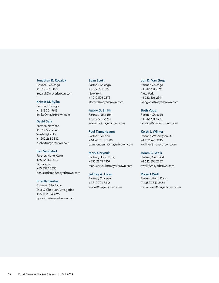#### Jonathan R. Rosaluk

Counsel, Chicago +1 312 701 8096 [jrosaluk@mayerbrown.com](mailto:jrosaluk@mayerbrown.com)

#### Kristin M. Rylko

Partner, Chicago +1 312 701 7613 [krylko@mayerbrown.com](mailto:krylko@mayerbrown.com)

#### David Sahr

Partner, New York +1 212 506 2540 Washington DC +1 202 263 3332 [dsahr@mayerbrown.com](mailto:dsahr@mayerbrown.com)

#### Ben Sandstad

Partner, Hong Kong +852 2843 2435 Singapore +65 6327 0635 [ben.sandstad@mayerbrown.com](mailto:ben.sandstad@mayerbrown.com)

#### Priscilla Santos

Counsel, São Paulo Tauil & Chequer Advogados +55 11 2504 4269 [ppsantos@mayerbrown.com](mailto:ppsantos@mayerbrown.com)

### Sean Scott

Partner, Chicago +1 312 701 8310 New York +1 212 506 2573 [stscott@mayerbrown.com](mailto:stscott@mayerbrown.com)

#### Aubry D. Smith

Partner, New York +1 212 506 2293 [adsmith@mayerbrown.com](mailto:adsmith@mayerbrown.com)

#### Paul Tannenbaum

Partner, London +44 20 3130 3088 [ptannenbaum@mayerbrown.com](mailto:ptannenbaum@mayerbrown.com)

#### Mark Uhrynuk

Partner, Hong Kong +852 2843 4307 [mark.uhrynuk@mayerbrown.com](mailto:mark.uhrynuk@mayerbrown.com)

Jeffrey A. Usow Partner, Chicago +1 312 701 8612 [jusow@mayerbrown.com](mailto:jusow@mayerbrown.com)

#### Jon D. Van Gorp

Partner, Chicago +1 312 701 7091 New York +1 212 506 2314 [jvangorp@mayerbrown.com](mailto:jvangorp@mayerbrown.com)

#### Beth Vogel

Partner, Chicago +1 312 701 8973 [bdvogel@mayerbrown.com](mailto:bdvogel@mayerbrown.com)

## Keith J. Willner

Partner, Washington DC +1 202 263 3215 [kwillner@mayerbrown.com](mailto:kwillner@mayerbrown.com)

#### Adam C. Wolk

Partner, New York +1 212 506 2257 [awolk@mayerbrown.com](mailto:awolk@mayerbrown.com)

### Robert Woll Partner, Hong Kong T +852 2843 2454 [robert.woll@mayerbrown.com](mailto:robert.woll@mayerbrown.com)

32 | Fund Finance Market Review | Fall 2019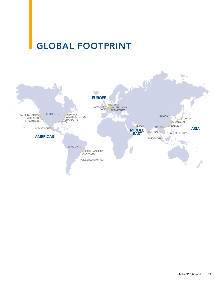## GLOBAL FOOTPRINT

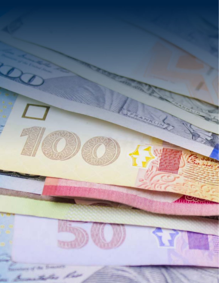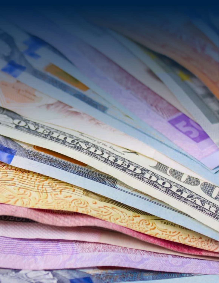